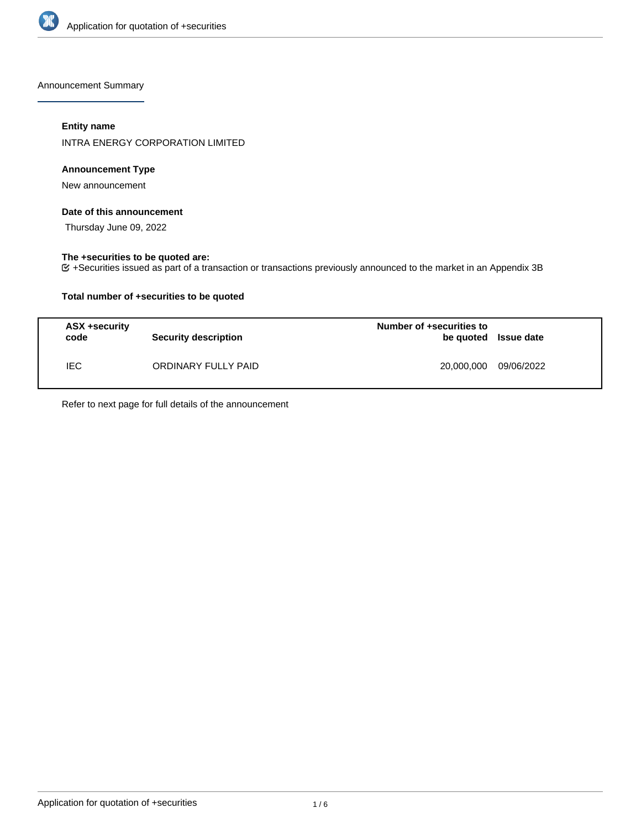

Announcement Summary

# **Entity name**

INTRA ENERGY CORPORATION LIMITED

## **Announcement Type**

New announcement

### **Date of this announcement**

Thursday June 09, 2022

## **The +securities to be quoted are:**

+Securities issued as part of a transaction or transactions previously announced to the market in an Appendix 3B

## **Total number of +securities to be quoted**

| ASX +security<br>code | <b>Security description</b> | Number of +securities to<br>be quoted Issue date |            |
|-----------------------|-----------------------------|--------------------------------------------------|------------|
| IEC.                  | ORDINARY FULLY PAID         | 20,000,000                                       | 09/06/2022 |

Refer to next page for full details of the announcement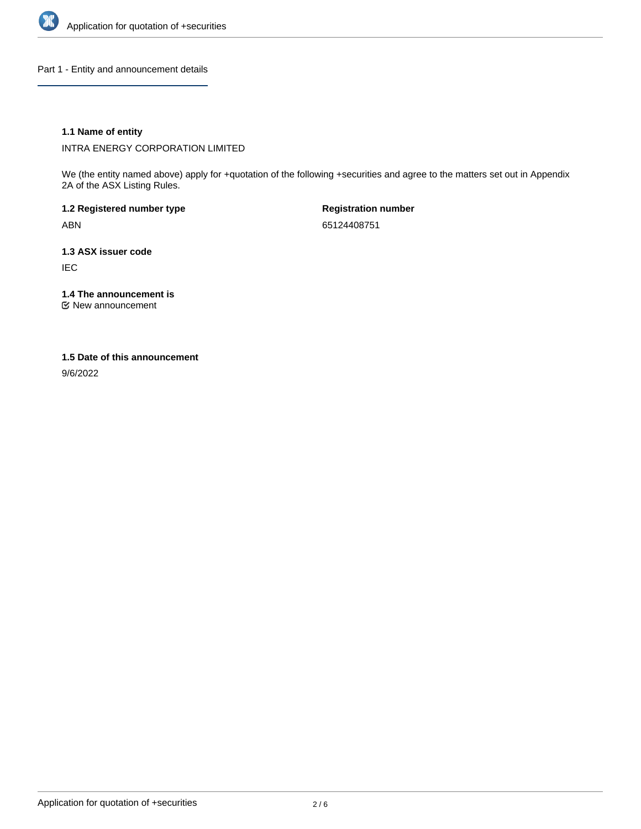

Part 1 - Entity and announcement details

## **1.1 Name of entity**

INTRA ENERGY CORPORATION LIMITED

We (the entity named above) apply for +quotation of the following +securities and agree to the matters set out in Appendix 2A of the ASX Listing Rules.

**1.2 Registered number type** ABN

**Registration number** 65124408751

**1.3 ASX issuer code** IEC

**1.4 The announcement is**

New announcement

### **1.5 Date of this announcement**

9/6/2022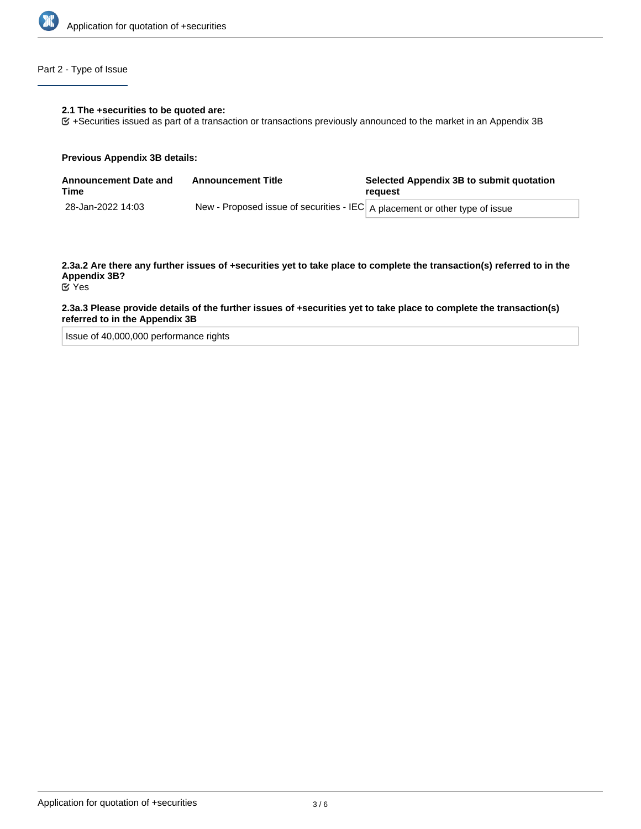

# Part 2 - Type of Issue

#### **2.1 The +securities to be quoted are:**

+Securities issued as part of a transaction or transactions previously announced to the market in an Appendix 3B

#### **Previous Appendix 3B details:**

| <b>Announcement Date and</b><br>Time | <b>Announcement Title</b>                                                   | Selected Appendix 3B to submit quotation<br>reauest |
|--------------------------------------|-----------------------------------------------------------------------------|-----------------------------------------------------|
| 28-Jan-2022 14:03                    | New - Proposed issue of securities - IEC A placement or other type of issue |                                                     |

# **2.3a.2 Are there any further issues of +securities yet to take place to complete the transaction(s) referred to in the Appendix 3B?**

Yes

### **2.3a.3 Please provide details of the further issues of +securities yet to take place to complete the transaction(s) referred to in the Appendix 3B**

Issue of 40,000,000 performance rights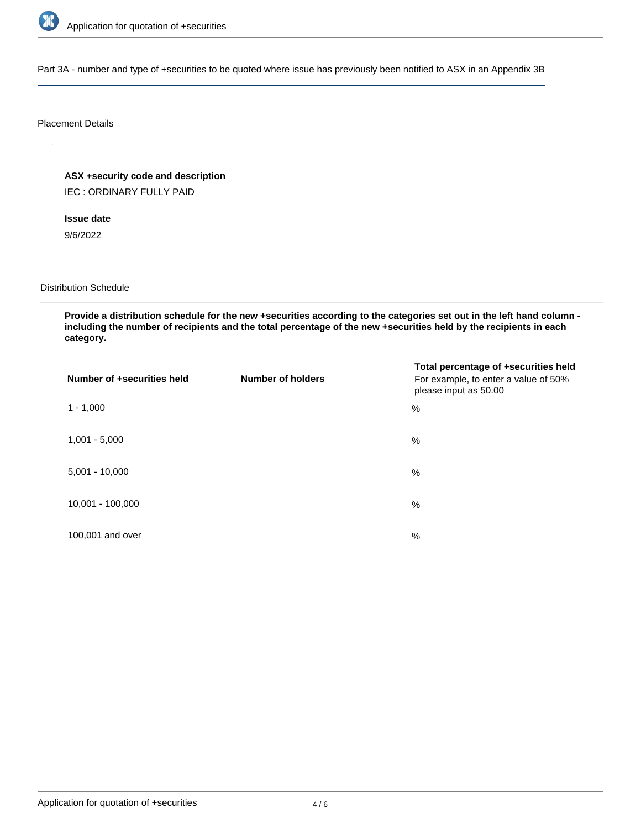

Part 3A - number and type of +securities to be quoted where issue has previously been notified to ASX in an Appendix 3B

### Placement Details

**ASX +security code and description**

IEC : ORDINARY FULLY PAID

**Issue date**

9/6/2022

Distribution Schedule

**Provide a distribution schedule for the new +securities according to the categories set out in the left hand column including the number of recipients and the total percentage of the new +securities held by the recipients in each category.**

| Number of +securities held | <b>Number of holders</b> | Total percentage of +securities held<br>For example, to enter a value of 50%<br>please input as 50.00 |
|----------------------------|--------------------------|-------------------------------------------------------------------------------------------------------|
| $1 - 1,000$                |                          | %                                                                                                     |
| $1,001 - 5,000$            |                          | $\%$                                                                                                  |
| $5,001 - 10,000$           |                          | %                                                                                                     |
| 10,001 - 100,000           |                          | $\%$                                                                                                  |
| 100,001 and over           |                          | $\%$                                                                                                  |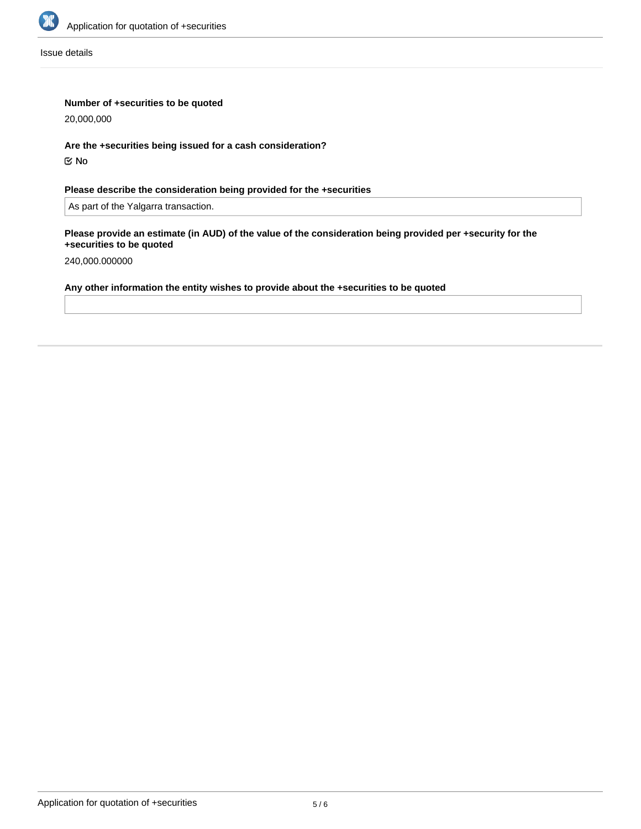

Issue details

## **Number of +securities to be quoted**

20,000,000

**Are the +securities being issued for a cash consideration?** No

# **Please describe the consideration being provided for the +securities**

As part of the Yalgarra transaction.

### **Please provide an estimate (in AUD) of the value of the consideration being provided per +security for the +securities to be quoted**

240,000.000000

# **Any other information the entity wishes to provide about the +securities to be quoted**